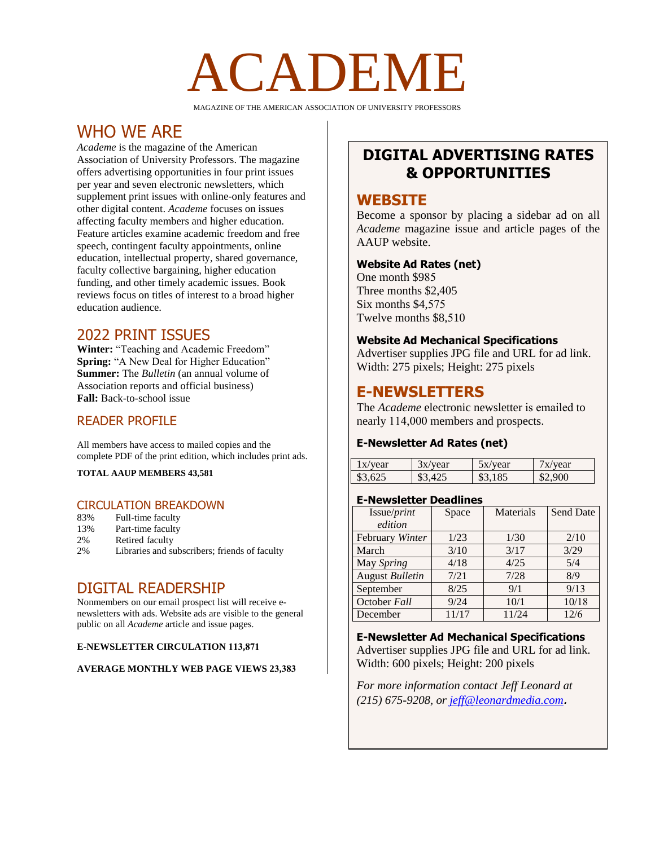# CADEM

MAGAZINE OF THE AMERICAN ASSOCIATION OF UNIVERSITY PROFESSORS

# WHO WE ARE

*Academe* is the magazine of the American Association of University Professors. The magazine offers advertising opportunities in four print issues per year and seven electronic newsletters, which supplement print issues with online-only features and other digital content. *Academe* focuses on issues affecting faculty members and higher education. Feature articles examine academic freedom and free speech, contingent faculty appointments, online education, intellectual property, shared governance, faculty collective bargaining, higher education funding, and other timely academic issues. Book reviews focus on titles of interest to a broad higher education audience.

## 2022 PRINT ISSUES

**Winter:** "Teaching and Academic Freedom" **Spring:** "A New Deal for Higher Education" **Summer:** The *Bulletin* (an annual volume of Association reports and official business) **Fall:** Back-to-school issue

## READER PROFILE

All members have access to mailed copies and the complete PDF of the print edition, which includes print ads.

**TOTAL AAUP MEMBERS 43,581** 

## CIRCULATION BREAKDOWN

- 83% Full-time faculty
- 13% Part-time faculty<br>2% Retired faculty
- Retired faculty
- 2% Libraries and subscribers; friends of faculty

## DIGITAL READERSHIP

Nonmembers on our email prospect list will receive enewsletters with ads. Website ads are visible to the general public on all *Academe* article and issue pages.

#### **E-NEWSLETTER CIRCULATION 113,871**

#### **AVERAGE MONTHLY WEB PAGE VIEWS 23,383**

# **DIGITAL ADVERTISING RATES & OPPORTUNITIES**

## **WEBSITE**

Become a sponsor by placing a sidebar ad on all *Academe* magazine issue and article pages of the AAUP website.

#### **Website Ad Rates (net)**

One month \$985 Three months \$2,405 Six months \$4,575 Twelve months \$8,510

## **Website Ad Mechanical Specifications**

Advertiser supplies JPG file and URL for ad link. Width: 275 pixels; Height: 275 pixels

## **E-NEWSLETTERS**

The *Academe* electronic newsletter is emailed to nearly 114,000 members and prospects.

#### **E-Newsletter Ad Rates (net)**

| 1x/year | 3x/year | 5x/year | /x/year |
|---------|---------|---------|---------|
| \$3.625 |         | 185     | \$2.900 |

#### **E-Newsletter Deadlines**

| Issue/print     | Space | Materials | Send Date |
|-----------------|-------|-----------|-----------|
| edition         |       |           |           |
| February Winter | 1/23  | 1/30      | 2/10      |
| March           | 3/10  | 3/17      | 3/29      |
| May Spring      | 4/18  | 4/25      | 5/4       |
| August Bulletin | 7/21  | 7/28      | 8/9       |
| September       | 8/25  | 9/1       | 9/13      |
| October Fall    | 9/24  | 10/1      | 10/18     |
| December        | 11/17 | 11/24     | 12/6      |

**E-Newsletter Ad Mechanical Specifications** Advertiser supplies JPG file and URL for ad link. Width: 600 pixels; Height: 200 pixels

*For more information contact Jeff Leonard at (215) 675-9208, or [jeff@leonardmedia.com](mailto:jeff@leonardmedia.com)*.